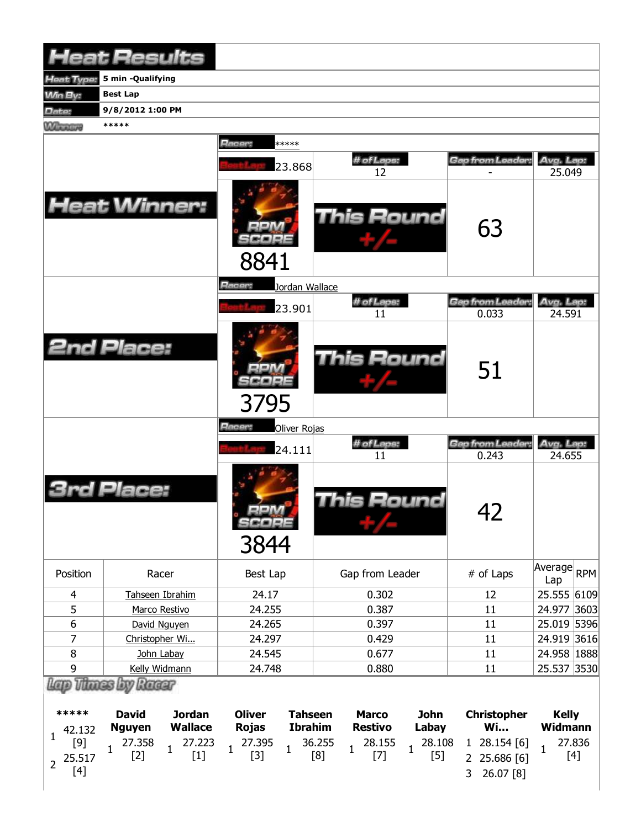|                  | <b>Heat Results</b>                              |                                  |                      |                           |                              |
|------------------|--------------------------------------------------|----------------------------------|----------------------|---------------------------|------------------------------|
| Heat Type:       | 5 min -Qualifying                                |                                  |                      |                           |                              |
| <b>Min By:</b>   | <b>Best Lap</b>                                  |                                  |                      |                           |                              |
| Date:            | 9/8/2012 1:00 PM                                 |                                  |                      |                           |                              |
| <b>Winners</b>   | *****                                            |                                  |                      |                           |                              |
|                  |                                                  | Racer:<br>*****                  |                      |                           |                              |
|                  |                                                  |                                  | # of Laps:           | Gap from Leader:          | Avg. Lap:                    |
|                  |                                                  | 23.868                           | 12                   |                           | 25.049                       |
|                  | <b>Heat Winner:</b>                              | 8841                             | This Round           | 63                        |                              |
|                  |                                                  | Racer:<br>Jordan Wallace         |                      |                           |                              |
|                  |                                                  |                                  | # of Laps:           | Gap from Leader:          | Avg. Lap:                    |
|                  |                                                  | 23.901                           | 11                   | 0.033                     | 24.591                       |
|                  | <b>2nd Place:</b>                                | 3795                             | <b>This Round</b>    | 51                        |                              |
|                  |                                                  | <b>Racer:</b><br>Oliver Rojas    |                      |                           |                              |
|                  |                                                  | 24.111                           | # of Laps:<br>11     | Gap from Leader:<br>0.243 | Avg. Lap:<br>24.655          |
|                  | rd Place:                                        | $=$ $ \sqrt{2}$<br>SCORE<br>3844 | This Round           | 42                        |                              |
| Position         | Racer                                            | Best Lap                         | Gap from Leader      | # of Laps                 | Average<br><b>RPM</b><br>Lap |
| 4                | Tahseen Ibrahim                                  | 24.17                            | 0.302                | 12                        | 25.555 6109                  |
| 5                | Marco Restivo                                    | 24.255                           | 0.387                | 11                        | 24.977<br>3603               |
| 6                | David Nguyen                                     | 24.265                           | 0.397                | 11                        | 25.019 5396                  |
| 7                | Christopher Wi                                   | 24.297                           | 0.429                | 11                        | 24.919 3616                  |
| $\bf 8$          | John Labay                                       | 24.545                           | 0.677                | 11                        | 24.958   1888                |
| $\boldsymbol{9}$ | Kelly Widmann                                    | 24.748                           | 0.880                | 11                        | 25.537<br>3530               |
| *****            | Thunes by Racer<br><b>Jordan</b><br><b>David</b> | <b>Oliver</b><br>Tahseen         | <b>lohn</b><br>Marco | Christonher               | Kelly                        |

| *****        | <b>David</b>  | <b>Jordan</b> | <b>Oliver</b> | <b>Tahseen</b> | <b>Marco</b>   | <b>John</b> | <b>Christopher</b>                                                                                                                                                                                                                                                                                                                                                                                                                                                | <b>Kelly</b><br>Widmann |  |  |
|--------------|---------------|---------------|---------------|----------------|----------------|-------------|-------------------------------------------------------------------------------------------------------------------------------------------------------------------------------------------------------------------------------------------------------------------------------------------------------------------------------------------------------------------------------------------------------------------------------------------------------------------|-------------------------|--|--|
| 42.132       | <b>Nguyen</b> | Wallace       | <b>Rojas</b>  | <b>Ibrahim</b> | <b>Restivo</b> | Labay       | Wi                                                                                                                                                                                                                                                                                                                                                                                                                                                                |                         |  |  |
|              |               |               |               |                |                |             |                                                                                                                                                                                                                                                                                                                                                                                                                                                                   |                         |  |  |
| $2^{25.517}$ |               |               |               |                |                |             | $\begin{bmatrix} 9 \\ 5.517 \end{bmatrix} \quad \begin{bmatrix} 27.358 \\ 1 \end{bmatrix} \quad \begin{bmatrix} 27.223 \\ 1 \end{bmatrix} \quad \begin{bmatrix} 27.395 \\ 1 \end{bmatrix} \quad \begin{bmatrix} 3 \\ 1 \end{bmatrix} \quad \begin{bmatrix} 36.255 \\ 1 \end{bmatrix} \quad \begin{bmatrix} 28.155 \\ 1 \end{bmatrix} \quad \begin{bmatrix} 28.108 \\ 1 \end{bmatrix} \quad \begin{bmatrix} 28.154 \\ 2 \end{bmatrix} \quad \begin{bmatrix} 6 \\ $ |                         |  |  |
| [4]          |               |               |               |                |                |             | 3 26.07 [8]                                                                                                                                                                                                                                                                                                                                                                                                                                                       |                         |  |  |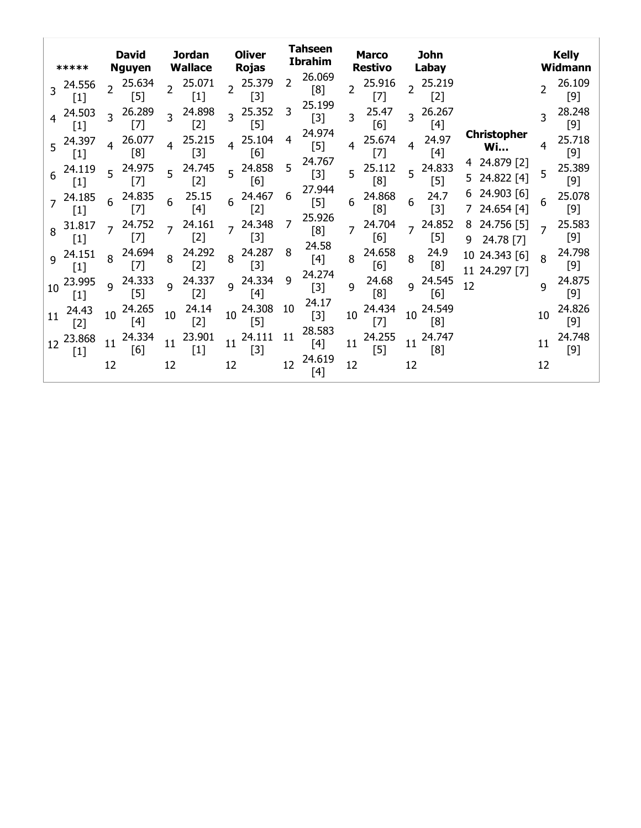|                | *****                                                                                                                                                                                                            | <b>David</b><br><b>Jordan</b><br><b>Wallace</b><br><b>Nguyen</b> |                                                                                                                                                                                                                      | <b>Tahseen</b><br><b>Oliver</b><br><b>Ibrahim</b><br><b>Rojas</b> |                 |                |                 | <b>Marco</b><br>Restivo |                         | John<br>Labay |                 |                | <b>Kelly</b><br>Widmann                                                                                                                                                                                            |        |                                 |              |                 |
|----------------|------------------------------------------------------------------------------------------------------------------------------------------------------------------------------------------------------------------|------------------------------------------------------------------|----------------------------------------------------------------------------------------------------------------------------------------------------------------------------------------------------------------------|-------------------------------------------------------------------|-----------------|----------------|-----------------|-------------------------|-------------------------|---------------|-----------------|----------------|--------------------------------------------------------------------------------------------------------------------------------------------------------------------------------------------------------------------|--------|---------------------------------|--------------|-----------------|
|                | 24.556<br>$[1]$                                                                                                                                                                                                  |                                                                  | 25.634<br>$[5]$                                                                                                                                                                                                      |                                                                   | 25.071<br>$[1]$ | $\overline{2}$ | 25.379<br>$[3]$ | 2                       | 26.069<br>[8]<br>25.199 |               | 25.916<br>$[7]$ | $\overline{2}$ | 25.219<br>$[2]$                                                                                                                                                                                                    |        |                                 |              | 26.109<br>$[9]$ |
|                | 24.503<br>$[1]$                                                                                                                                                                                                  |                                                                  | 26.289<br>$[7]$                                                                                                                                                                                                      | 3                                                                 | 24.898<br>$[2]$ | $\overline{3}$ | 25.352<br>$[5]$ | 3                       | $[3]$                   | 3             | 25.47<br>[6]    | 3              | 26.267<br>[4]                                                                                                                                                                                                      |        |                                 | 3            | 28.248<br>$[9]$ |
| 5              | 24.397<br>$[1] % \includegraphics[width=0.9\columnwidth]{figures/fig_10.pdf} \caption{The figure shows the number of times, and the number of times, and the number of times, respectively.} \label{fig:time} %$ |                                                                  | 26.077<br>[8]                                                                                                                                                                                                        | 4                                                                 | 25.215<br>$[3]$ | 4              | 25.104<br>[6]   | 4                       | 24.974<br>$[5]$         | 4             | 25.674<br>$[7]$ | 4              | 24.97<br>$[4]$                                                                                                                                                                                                     |        | <b>Christopher</b><br><b>Wi</b> | 4            | 25.718<br>[9]   |
| 6              | 24.119<br>$[1]$                                                                                                                                                                                                  |                                                                  | 24.975<br>$[7]$                                                                                                                                                                                                      |                                                                   | 24.745<br>[2]   | 5              | 24.858<br>[6]   | 5                       | 24.767<br>$[3]$         | 5             | 25.112<br>[8]   | 5              | 24.833<br>$[5]$                                                                                                                                                                                                    |        | 24.879 [2]<br>24.822 [4]        | 5            | 25.389<br>$[9]$ |
| $\overline{7}$ | 24.185<br>$[1]$                                                                                                                                                                                                  | 6                                                                | 24.835<br>$[7] % \includegraphics[width=0.9\columnwidth]{figures/fig_10.pdf} \caption{The 3D (black) model for the estimators in the left and right. The left and right is the same as in the right.} \label{fig:2}$ | 6                                                                 | 25.15<br>[4]    | 6              | 24.467<br>$[2]$ | 6                       | 27.944<br>$[5]$         | 6             | 24.868<br>[8]   | 6              | 24.7<br>$[3]$                                                                                                                                                                                                      | 6      | 24.903 [6]<br>24.654 [4]        | 6            | 25.078<br>$[9]$ |
| 8              | 31.817<br>$[1]$                                                                                                                                                                                                  |                                                                  | 24.752<br>[7]                                                                                                                                                                                                        |                                                                   | 24.161<br>$[2]$ |                | 24.348<br>$[3]$ |                         | 25.926<br>[8]           | 7             | 24.704<br>[6]   | $\overline{z}$ | 24.852<br>$[5] % \includegraphics[width=0.9\columnwidth]{figures/fig_10.pdf} \caption{The figure shows the number of times, and the number of times, and the number of times, respectively.} \label{fig:fig:time}$ | 8<br>9 | 24.756 [5]<br>24.78 [7]         |              | 25.583<br>$[9]$ |
| 9              | 24.151<br>$[1]$                                                                                                                                                                                                  |                                                                  | 24.694<br>$[7]$                                                                                                                                                                                                      | 8                                                                 | 24.292<br>$[2]$ | 8              | 24.287<br>$[3]$ | 8                       | 24.58<br>$[4]$          | 8             | 24.658<br>[6]   | 8              | 24.9<br>[8]                                                                                                                                                                                                        | 10     | 24.343 [6]<br>11 24.297 [7]     | $\mathsf{R}$ | 24.798<br>$[9]$ |
| 10             | 23.995<br>$[1]$                                                                                                                                                                                                  | q                                                                | 24.333<br>$[5]$                                                                                                                                                                                                      | 9                                                                 | 24.337<br>$[2]$ | 9              | 24.334<br>$[4]$ | $\mathsf{q}$            | 24.274<br>$[3]$         | 9             | 24.68<br>[8]    | $\mathsf{q}$   | 24.545<br>[6]                                                                                                                                                                                                      | 12     |                                 | 9            | 24.875<br>$[9]$ |
| 11             | 24.43<br>$[2]$                                                                                                                                                                                                   | 10                                                               | 24.265<br>$[4]$                                                                                                                                                                                                      | 10                                                                | 24.14<br>$[2]$  | 10             | 24.308<br>$[5]$ | 10                      | 24.17<br>$[3]$          | 10            | 24.434<br>$[7]$ | 10             | 24.549<br>[8]                                                                                                                                                                                                      |        |                                 | 10           | 24.826<br>$[9]$ |
| 12             | 23.868<br>$[1]$                                                                                                                                                                                                  | 11                                                               | 24.334<br>[6]                                                                                                                                                                                                        | 11                                                                | 23.901<br>[1]   | 11             | 24.111<br>$[3]$ | 11                      | 28.583<br>$[4]$         | 11            | 24.255<br>$[5]$ | 11             | 24.747<br>[8]                                                                                                                                                                                                      |        |                                 | 11           | 24.748<br>$[9]$ |
|                |                                                                                                                                                                                                                  | 12                                                               |                                                                                                                                                                                                                      | 12                                                                |                 | 12             |                 | 12                      | 24.619<br>[4]           | 12            |                 | 12             |                                                                                                                                                                                                                    |        |                                 | 12           |                 |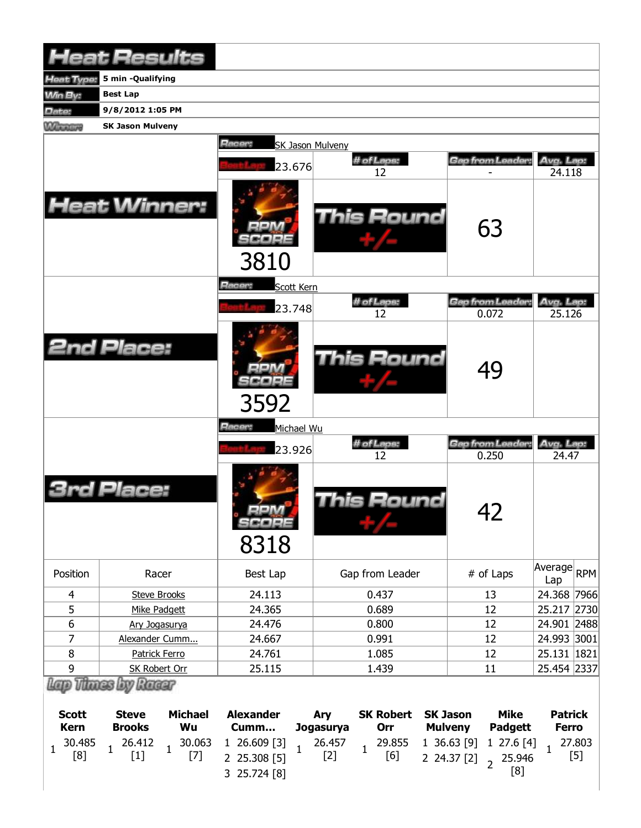|                | <b>Heat Results</b>     |                                                  |                  |                          |                              |
|----------------|-------------------------|--------------------------------------------------|------------------|--------------------------|------------------------------|
| leat Type:     | 5 min -Qualifying       |                                                  |                  |                          |                              |
| <b>Min By:</b> | <b>Best Lap</b>         |                                                  |                  |                          |                              |
| Date:          | 9/8/2012 1:05 PM        |                                                  |                  |                          |                              |
| <b>Winners</b> | <b>SK Jason Mulveny</b> |                                                  |                  |                          |                              |
|                |                         | Racer:<br>SK Jason Mulveny<br>23.676             | # of Laps:<br>12 | Gap from Leader:         | Avg. Lap:<br>24.118          |
|                | <b>Heat Winner:</b>     | 3810                                             | This Round       | 63                       |                              |
|                |                         | Racer:<br>Scott Kern                             |                  |                          |                              |
|                |                         |                                                  | # of Laps:       | Gap from Leader:         | Avg. Lap:                    |
|                |                         | 23.748                                           | 12               | 0.072                    | 25.126                       |
|                | <b>2nd Place:</b>       | 3592                                             | This Round       | 49                       |                              |
|                |                         | Racer:<br>Michael Wu                             |                  |                          |                              |
|                |                         | 23.926                                           | # of Laps:<br>12 | Gap from Leader<br>0.250 | Avg. Lap:<br>24.47           |
|                | Place:                  | $\frac{1}{4}$ and $\frac{1}{4}$<br>SCOPE<br>8318 | This Round       | 42                       |                              |
| Position       | Racer                   | Best Lap                                         | Gap from Leader  | # of Laps                | Average<br><b>RPM</b><br>Lap |
| 4              | <b>Steve Brooks</b>     | 24.113                                           | 0.437            | 13                       | 24.368 7966                  |
| 5              | Mike Padgett            | 24.365                                           | 0.689            | 12                       | 25.217 2730                  |
| 6              | Ary Jogasurya           | 24.476                                           | 0.800            | 12                       | 24.901 2488                  |
| 7              | Alexander Cumm          | 24.667                                           | 0.991            | 12                       | 24.993 3001                  |
| 8              | Patrick Ferro           | 24.761                                           | 1.085            | 12                       | 25.131 1821                  |
| 9              | <b>SK Robert Orr</b>    | 25.115                                           | 1.439            | 11                       | 25.454 2337                  |
|                | Lap Thues by Racer      |                                                  |                  |                          |                              |

| Scott<br>Kern | Steve<br><b>Brooks</b> | Michael | Alexander Ary SK Robert SK Jason<br>Wu Cumm Jogasurya Orr Mulveny                                                                                                                                                                                                                                              |  | Mike<br>Padgett | <b>Patrick</b><br>Ferro |
|---------------|------------------------|---------|----------------------------------------------------------------------------------------------------------------------------------------------------------------------------------------------------------------------------------------------------------------------------------------------------------------|--|-----------------|-------------------------|
|               |                        |         | $\begin{array}{cccccccc} 1& 30.485& 1& 26.412& 1& 30.063& 1& 26.609 [3] & 1& 26.457& 1& 29.855& 1& 36.63 [9] & 1& 27.6 [4] & 1& 27.803 \\ \hline [8] & 1& [1] & 1& [7] & 2& 25.308 [5] & 1& [2] & 1& [6] & 2& 24.37 [2] & 2& 25.946 & [5] \\ & & 3& 25.724 [8] & & & & & & [8] & & \end{array$<br>3 25.724 [8] |  |                 |                         |